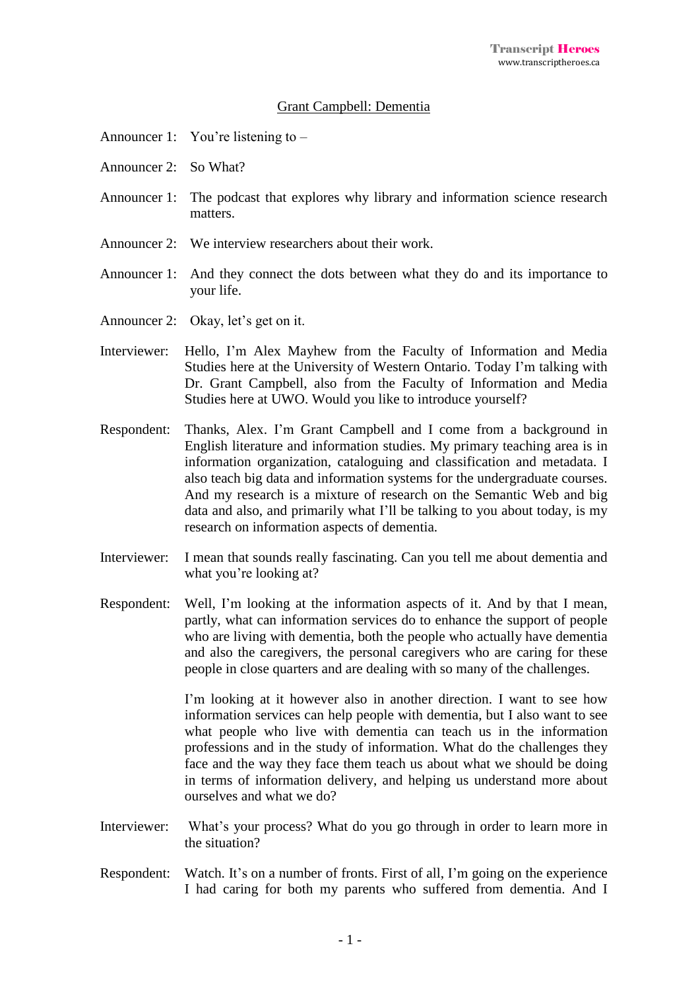## Grant Campbell: Dementia

- Announcer 1: You're listening to –
- Announcer 2: So What?
- Announcer 1: The podcast that explores why library and information science research matters.
- Announcer 2: We interview researchers about their work.
- Announcer 1: And they connect the dots between what they do and its importance to your life.
- Announcer 2: Okay, let's get on it.
- Interviewer: Hello, I'm Alex Mayhew from the Faculty of Information and Media Studies here at the University of Western Ontario. Today I'm talking with Dr. Grant Campbell, also from the Faculty of Information and Media Studies here at UWO. Would you like to introduce yourself?
- Respondent: Thanks, Alex. I'm Grant Campbell and I come from a background in English literature and information studies. My primary teaching area is in information organization, cataloguing and classification and metadata. I also teach big data and information systems for the undergraduate courses. And my research is a mixture of research on the Semantic Web and big data and also, and primarily what I'll be talking to you about today, is my research on information aspects of dementia.
- Interviewer: I mean that sounds really fascinating. Can you tell me about dementia and what you're looking at?
- Respondent: Well, I'm looking at the information aspects of it. And by that I mean, partly, what can information services do to enhance the support of people who are living with dementia, both the people who actually have dementia and also the caregivers, the personal caregivers who are caring for these people in close quarters and are dealing with so many of the challenges.

I'm looking at it however also in another direction. I want to see how information services can help people with dementia, but I also want to see what people who live with dementia can teach us in the information professions and in the study of information. What do the challenges they face and the way they face them teach us about what we should be doing in terms of information delivery, and helping us understand more about ourselves and what we do?

- Interviewer: What's your process? What do you go through in order to learn more in the situation?
- Respondent: Watch. It's on a number of fronts. First of all, I'm going on the experience I had caring for both my parents who suffered from dementia. And I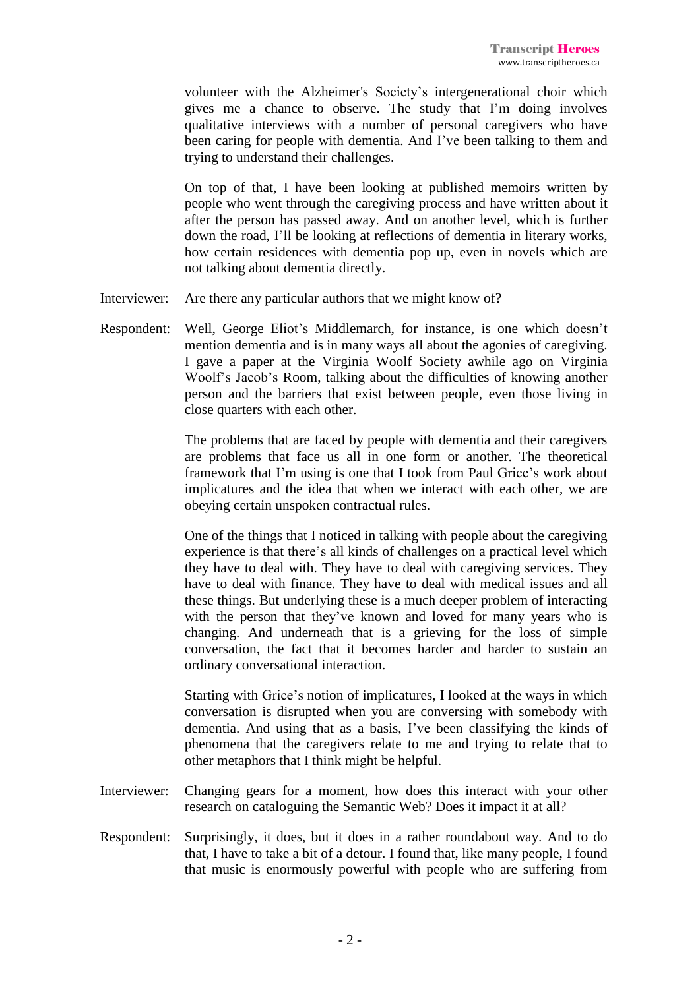volunteer with the Alzheimer's Society's intergenerational choir which gives me a chance to observe. The study that I'm doing involves qualitative interviews with a number of personal caregivers who have been caring for people with dementia. And I've been talking to them and trying to understand their challenges.

On top of that, I have been looking at published memoirs written by people who went through the caregiving process and have written about it after the person has passed away. And on another level, which is further down the road, I'll be looking at reflections of dementia in literary works, how certain residences with dementia pop up, even in novels which are not talking about dementia directly.

- Interviewer: Are there any particular authors that we might know of?
- Respondent: Well, George Eliot's Middlemarch, for instance, is one which doesn't mention dementia and is in many ways all about the agonies of caregiving. I gave a paper at the Virginia Woolf Society awhile ago on Virginia Woolf's Jacob's Room, talking about the difficulties of knowing another person and the barriers that exist between people, even those living in close quarters with each other.

The problems that are faced by people with dementia and their caregivers are problems that face us all in one form or another. The theoretical framework that I'm using is one that I took from Paul Grice's work about implicatures and the idea that when we interact with each other, we are obeying certain unspoken contractual rules.

One of the things that I noticed in talking with people about the caregiving experience is that there's all kinds of challenges on a practical level which they have to deal with. They have to deal with caregiving services. They have to deal with finance. They have to deal with medical issues and all these things. But underlying these is a much deeper problem of interacting with the person that they've known and loved for many years who is changing. And underneath that is a grieving for the loss of simple conversation, the fact that it becomes harder and harder to sustain an ordinary conversational interaction.

Starting with Grice's notion of implicatures, I looked at the ways in which conversation is disrupted when you are conversing with somebody with dementia. And using that as a basis, I've been classifying the kinds of phenomena that the caregivers relate to me and trying to relate that to other metaphors that I think might be helpful.

- Interviewer: Changing gears for a moment, how does this interact with your other research on cataloguing the Semantic Web? Does it impact it at all?
- Respondent: Surprisingly, it does, but it does in a rather roundabout way. And to do that, I have to take a bit of a detour. I found that, like many people, I found that music is enormously powerful with people who are suffering from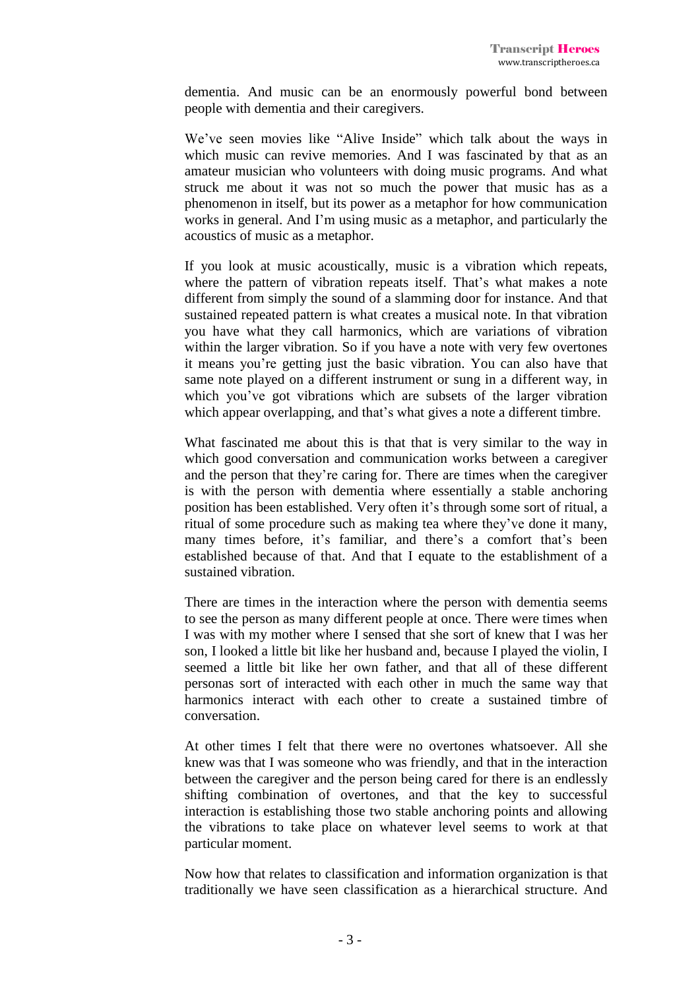dementia. And music can be an enormously powerful bond between people with dementia and their caregivers.

We've seen movies like "Alive Inside" which talk about the ways in which music can revive memories. And I was fascinated by that as an amateur musician who volunteers with doing music programs. And what struck me about it was not so much the power that music has as a phenomenon in itself, but its power as a metaphor for how communication works in general. And I'm using music as a metaphor, and particularly the acoustics of music as a metaphor.

If you look at music acoustically, music is a vibration which repeats, where the pattern of vibration repeats itself. That's what makes a note different from simply the sound of a slamming door for instance. And that sustained repeated pattern is what creates a musical note. In that vibration you have what they call harmonics, which are variations of vibration within the larger vibration. So if you have a note with very few overtones it means you're getting just the basic vibration. You can also have that same note played on a different instrument or sung in a different way, in which you've got vibrations which are subsets of the larger vibration which appear overlapping, and that's what gives a note a different timbre.

What fascinated me about this is that that is very similar to the way in which good conversation and communication works between a caregiver and the person that they're caring for. There are times when the caregiver is with the person with dementia where essentially a stable anchoring position has been established. Very often it's through some sort of ritual, a ritual of some procedure such as making tea where they've done it many, many times before, it's familiar, and there's a comfort that's been established because of that. And that I equate to the establishment of a sustained vibration.

There are times in the interaction where the person with dementia seems to see the person as many different people at once. There were times when I was with my mother where I sensed that she sort of knew that I was her son, I looked a little bit like her husband and, because I played the violin, I seemed a little bit like her own father, and that all of these different personas sort of interacted with each other in much the same way that harmonics interact with each other to create a sustained timbre of conversation.

At other times I felt that there were no overtones whatsoever. All she knew was that I was someone who was friendly, and that in the interaction between the caregiver and the person being cared for there is an endlessly shifting combination of overtones, and that the key to successful interaction is establishing those two stable anchoring points and allowing the vibrations to take place on whatever level seems to work at that particular moment.

Now how that relates to classification and information organization is that traditionally we have seen classification as a hierarchical structure. And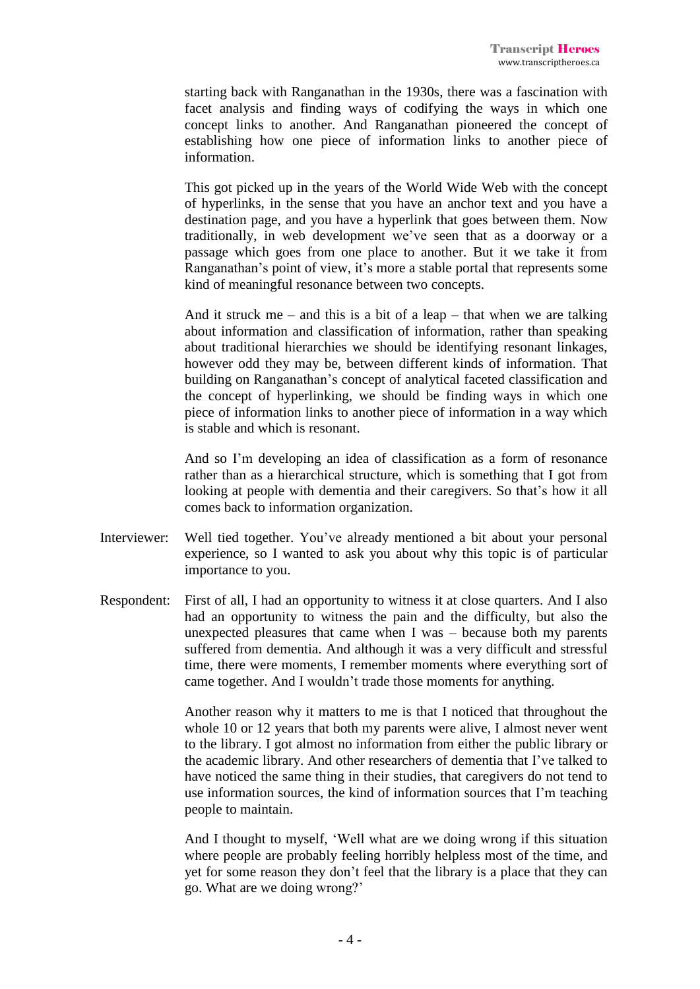starting back with Ranganathan in the 1930s, there was a fascination with facet analysis and finding ways of codifying the ways in which one concept links to another. And Ranganathan pioneered the concept of establishing how one piece of information links to another piece of information.

This got picked up in the years of the World Wide Web with the concept of hyperlinks, in the sense that you have an anchor text and you have a destination page, and you have a hyperlink that goes between them. Now traditionally, in web development we've seen that as a doorway or a passage which goes from one place to another. But it we take it from Ranganathan's point of view, it's more a stable portal that represents some kind of meaningful resonance between two concepts.

And it struck me – and this is a bit of a leap – that when we are talking about information and classification of information, rather than speaking about traditional hierarchies we should be identifying resonant linkages, however odd they may be, between different kinds of information. That building on Ranganathan's concept of analytical faceted classification and the concept of hyperlinking, we should be finding ways in which one piece of information links to another piece of information in a way which is stable and which is resonant.

And so I'm developing an idea of classification as a form of resonance rather than as a hierarchical structure, which is something that I got from looking at people with dementia and their caregivers. So that's how it all comes back to information organization.

- Interviewer: Well tied together. You've already mentioned a bit about your personal experience, so I wanted to ask you about why this topic is of particular importance to you.
- Respondent: First of all, I had an opportunity to witness it at close quarters. And I also had an opportunity to witness the pain and the difficulty, but also the unexpected pleasures that came when I was – because both my parents suffered from dementia. And although it was a very difficult and stressful time, there were moments, I remember moments where everything sort of came together. And I wouldn't trade those moments for anything.

Another reason why it matters to me is that I noticed that throughout the whole 10 or 12 years that both my parents were alive, I almost never went to the library. I got almost no information from either the public library or the academic library. And other researchers of dementia that I've talked to have noticed the same thing in their studies, that caregivers do not tend to use information sources, the kind of information sources that I'm teaching people to maintain.

And I thought to myself, 'Well what are we doing wrong if this situation where people are probably feeling horribly helpless most of the time, and yet for some reason they don't feel that the library is a place that they can go. What are we doing wrong?'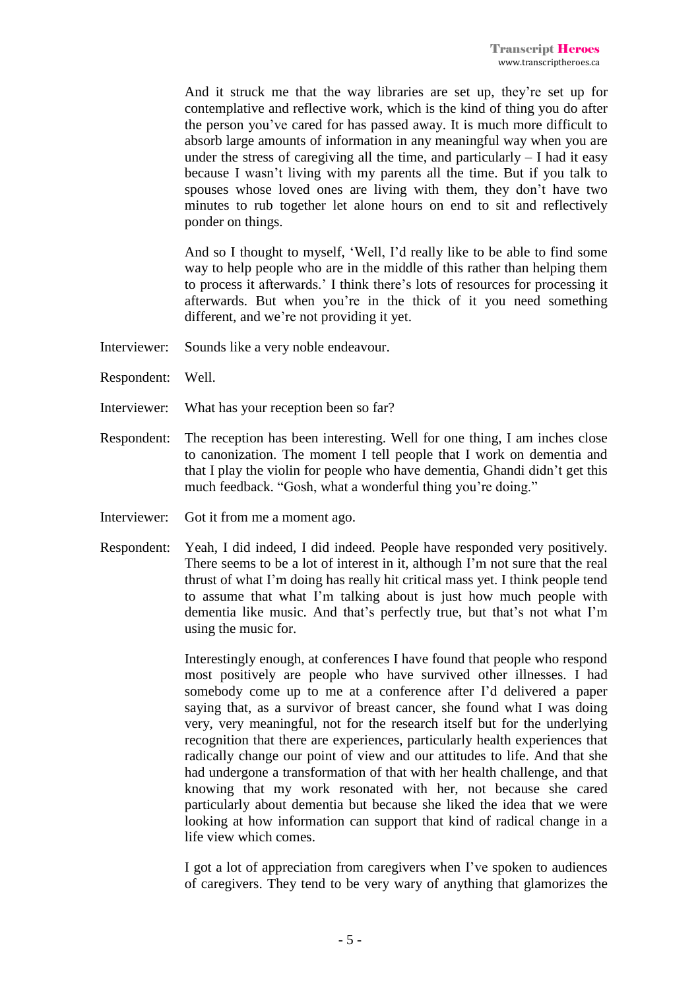And it struck me that the way libraries are set up, they're set up for contemplative and reflective work, which is the kind of thing you do after the person you've cared for has passed away. It is much more difficult to absorb large amounts of information in any meaningful way when you are under the stress of caregiving all the time, and particularly  $- I$  had it easy because I wasn't living with my parents all the time. But if you talk to spouses whose loved ones are living with them, they don't have two minutes to rub together let alone hours on end to sit and reflectively ponder on things.

And so I thought to myself, 'Well, I'd really like to be able to find some way to help people who are in the middle of this rather than helping them to process it afterwards.' I think there's lots of resources for processing it afterwards. But when you're in the thick of it you need something different, and we're not providing it yet.

- Interviewer: Sounds like a very noble endeavour.
- Respondent: Well.
- Interviewer: What has your reception been so far?
- Respondent: The reception has been interesting. Well for one thing, I am inches close to canonization. The moment I tell people that I work on dementia and that I play the violin for people who have dementia, Ghandi didn't get this much feedback. "Gosh, what a wonderful thing you're doing."
- Interviewer: Got it from me a moment ago.
- Respondent: Yeah, I did indeed, I did indeed. People have responded very positively. There seems to be a lot of interest in it, although I'm not sure that the real thrust of what I'm doing has really hit critical mass yet. I think people tend to assume that what I'm talking about is just how much people with dementia like music. And that's perfectly true, but that's not what I'm using the music for.

Interestingly enough, at conferences I have found that people who respond most positively are people who have survived other illnesses. I had somebody come up to me at a conference after I'd delivered a paper saying that, as a survivor of breast cancer, she found what I was doing very, very meaningful, not for the research itself but for the underlying recognition that there are experiences, particularly health experiences that radically change our point of view and our attitudes to life. And that she had undergone a transformation of that with her health challenge, and that knowing that my work resonated with her, not because she cared particularly about dementia but because she liked the idea that we were looking at how information can support that kind of radical change in a life view which comes.

I got a lot of appreciation from caregivers when I've spoken to audiences of caregivers. They tend to be very wary of anything that glamorizes the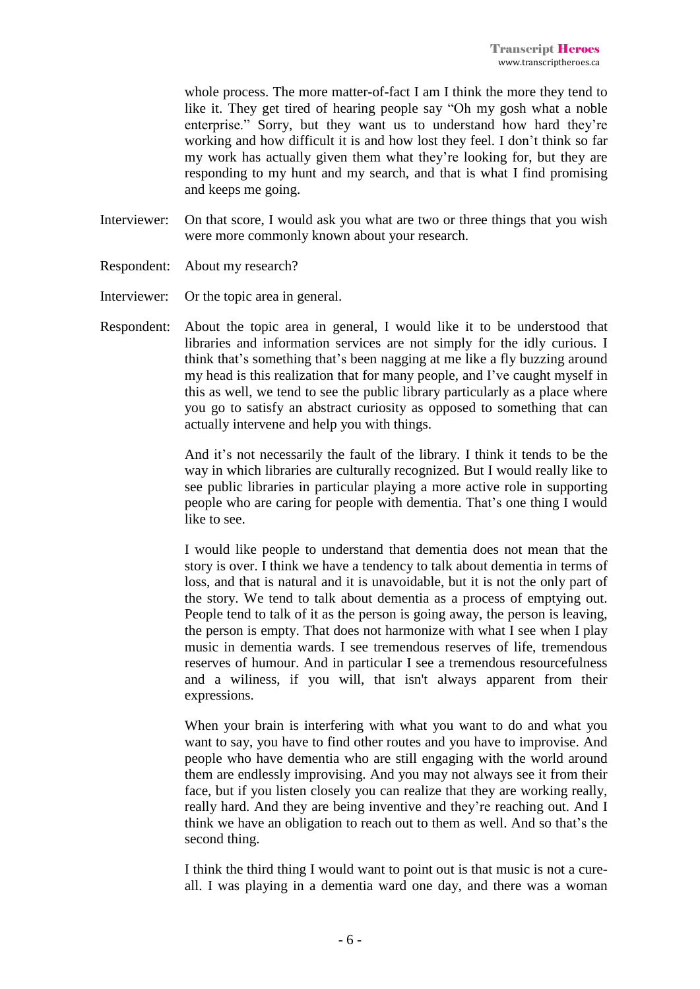whole process. The more matter-of-fact I am I think the more they tend to like it. They get tired of hearing people say "Oh my gosh what a noble enterprise." Sorry, but they want us to understand how hard they're working and how difficult it is and how lost they feel. I don't think so far my work has actually given them what they're looking for, but they are responding to my hunt and my search, and that is what I find promising and keeps me going.

- Interviewer: On that score, I would ask you what are two or three things that you wish were more commonly known about your research.
- Respondent: About my research?
- Interviewer: Or the topic area in general.
- Respondent: About the topic area in general, I would like it to be understood that libraries and information services are not simply for the idly curious. I think that's something that's been nagging at me like a fly buzzing around my head is this realization that for many people, and I've caught myself in this as well, we tend to see the public library particularly as a place where you go to satisfy an abstract curiosity as opposed to something that can actually intervene and help you with things.

And it's not necessarily the fault of the library. I think it tends to be the way in which libraries are culturally recognized. But I would really like to see public libraries in particular playing a more active role in supporting people who are caring for people with dementia. That's one thing I would like to see.

I would like people to understand that dementia does not mean that the story is over. I think we have a tendency to talk about dementia in terms of loss, and that is natural and it is unavoidable, but it is not the only part of the story. We tend to talk about dementia as a process of emptying out. People tend to talk of it as the person is going away, the person is leaving, the person is empty. That does not harmonize with what I see when I play music in dementia wards. I see tremendous reserves of life, tremendous reserves of humour. And in particular I see a tremendous resourcefulness and a wiliness, if you will, that isn't always apparent from their expressions.

When your brain is interfering with what you want to do and what you want to say, you have to find other routes and you have to improvise. And people who have dementia who are still engaging with the world around them are endlessly improvising. And you may not always see it from their face, but if you listen closely you can realize that they are working really, really hard. And they are being inventive and they're reaching out. And I think we have an obligation to reach out to them as well. And so that's the second thing.

I think the third thing I would want to point out is that music is not a cureall. I was playing in a dementia ward one day, and there was a woman